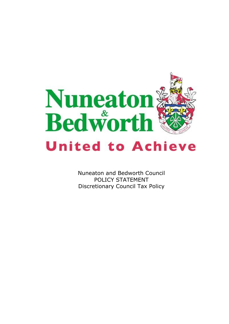

Nuneaton and Bedworth Council POLICY STATEMENT Discretionary Council Tax Policy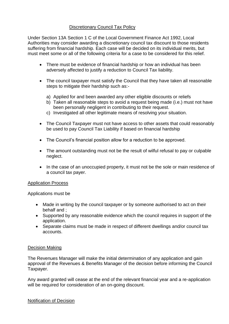# Discretionary Council Tax Policy

Under Section 13A Section 1 C of the Local Government Finance Act 1992, Local Authorities may consider awarding a discretionary council tax discount to those residents suffering from financial hardship. Each case will be decided on its individual merits, but must meet some or all of the following criteria for a case to be considered for this relief.

- There must be evidence of financial hardship or how an individual has been adversely affected to justify a reduction to Council Tax liability.
- The council taxpayer must satisfy the Council that they have taken all reasonable steps to mitigate their hardship such as:
	- a) Applied for and been awarded any other eligible discounts or reliefs
	- b) Taken all reasonable steps to avoid a request being made (i.e.) must not have been personally negligent in contributing to their request.
	- c) Investigated all other legitimate means of resolving your situation.
- The Council Taxpayer must not have access to other assets that could reasonably be used to pay Council Tax Liability if based on financial hardship
- The Council's financial position allow for a reduction to be approved.
- The amount outstanding must not be the result of wilful refusal to pay or culpable neglect.
- In the case of an unoccupied property, it must not be the sole or main residence of a council tax payer.

## Application Process

Applications must be

- Made in writing by the council taxpayer or by someone authorised to act on their behalf and ;
- Supported by any reasonable evidence which the council requires in support of the application.
- Separate claims must be made in respect of different dwellings and/or council tax accounts.

## Decision Making

The Revenues Manager will make the initial determination of any application and gain approval of the Revenues & Benefits Manager of the decision before informing the Council Taxpayer.

Any award granted will cease at the end of the relevant financial year and a re-application will be required for consideration of an on-going discount.

## Notification of Decision